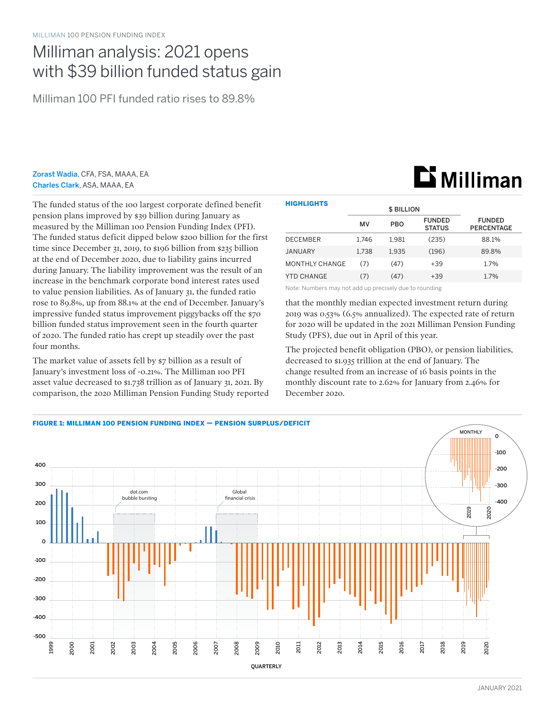## Milliman analysis: 2021 opens with \$39 billion funded status gain

Milliman 100 PFI funded ratio rises to 89.8%

Zorast Wadia, CFA, FSA, MAAA, EA Charles Clark, ASA, MAAA, EA

The funded status of the 100 largest corporate defined benefit pension plans improved by \$39 billion during January as measured by the Milliman 100 Pension Funding Index (PFI). The funded status deficit dipped below \$200 billion for the first time since December 31, 2019, to \$196 billion from \$235 billion at the end of December 2020, due to liability gains incurred during January. The liability improvement was the result of an increase in the benchmark corporate bond interest rates used to value pension liabilities. As of January 31, the funded ratio rose to 89.8%, up from 88.1% at the end of December. January's impressive funded status improvement piggybacks off the \$70 billion funded status improvement seen in the fourth quarter of 2020. The funded ratio has crept up steadily over the past four months.

The market value of assets fell by \$7 billion as a result of January's investment loss of -0.21%. The Milliman 100 PFI asset value decreased to \$1.738 trillion as of January 31, 2021. By comparison, the 2020 Milliman Pension Funding Study reported

| <b>HIGHLIGHTS</b>     | <b>\$ BILLION</b> |            |                                |                                    |
|-----------------------|-------------------|------------|--------------------------------|------------------------------------|
|                       | MV                | <b>PBO</b> | <b>FUNDED</b><br><b>STATUS</b> | <b>FUNDED</b><br><b>PERCENTAGE</b> |
| <b>DECEMBER</b>       | 1.746             | 1.981      | (235)                          | 88.1%                              |
| JANUARY               | 1.738             | 1.935      | (196)                          | 89.8%                              |
| <b>MONTHLY CHANGE</b> | (7)               | (47)       | $+39$                          | 1.7%                               |
| YTD CHANGE            | (7)               | (47)       | +39                            | 1.7%                               |

Note: Numbers may not add up precisely due to rounding

that the monthly median expected investment return during 2019 was 0.53% (6.5% annualized). The expected rate of return for 2020 will be updated in the 2021 Milliman Pension Funding Study (PFS), due out in April of this year.

The projected benefit obligation (PBO), or pension liabilities, decreased to \$1.935 trillion at the end of January. The change resulted from an increase of 16 basis points in the monthly discount rate to 2.62% for January from 2.46% for December 2020.



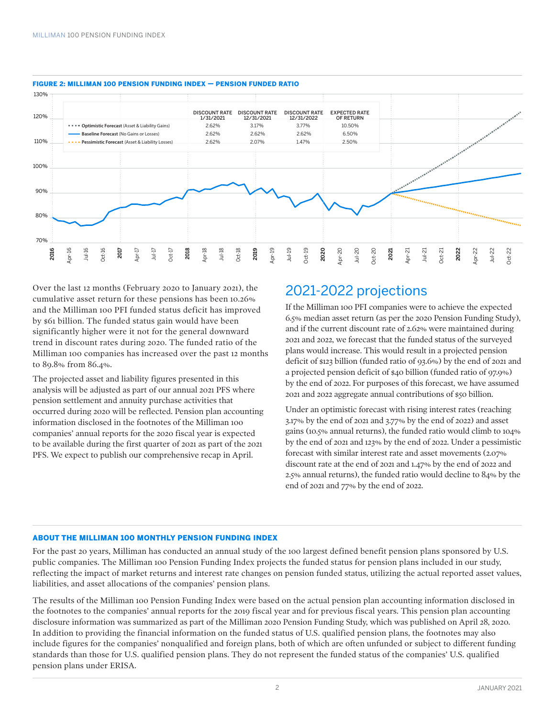

#### FIGURE 2: MILLIMAN 100 PENSION FUNDING INDEX — PENSION FUNDED RATIO

Over the last 12 months (February 2020 to January 2021), the cumulative asset return for these pensions has been 10.26% and the Milliman 100 PFI funded status deficit has improved by \$61 billion. The funded status gain would have been significantly higher were it not for the general downward trend in discount rates during 2020. The funded ratio of the Milliman 100 companies has increased over the past 12 months to 89.8% from 86.4%.

The projected asset and liability figures presented in this analysis will be adjusted as part of our annual 2021 PFS where pension settlement and annuity purchase activities that occurred during 2020 will be reflected. Pension plan accounting information disclosed in the footnotes of the Milliman 100 companies' annual reports for the 2020 fiscal year is expected to be available during the first quarter of 2021 as part of the 2021 PFS. We expect to publish our comprehensive recap in April.

### 2021-2022 projections

If the Milliman 100 PFI companies were to achieve the expected 6.5% median asset return (as per the 2020 Pension Funding Study), and if the current discount rate of 2.62% were maintained during 2021 and 2022, we forecast that the funded status of the surveyed plans would increase. This would result in a projected pension deficit of \$123 billion (funded ratio of 93.6%) by the end of 2021 and a projected pension deficit of \$40 billion (funded ratio of 97.9%) by the end of 2022. For purposes of this forecast, we have assumed 2021 and 2022 aggregate annual contributions of \$50 billion.

Under an optimistic forecast with rising interest rates (reaching 3.17% by the end of 2021 and 3.77% by the end of 2022) and asset gains (10.5% annual returns), the funded ratio would climb to 104% by the end of 2021 and 123% by the end of 2022. Under a pessimistic forecast with similar interest rate and asset movements (2.07% discount rate at the end of 2021 and 1.47% by the end of 2022 and 2.5% annual returns), the funded ratio would decline to 84% by the end of 2021 and 77% by the end of 2022.

#### ABOUT THE MILLIMAN 100 MONTHLY PENSION FUNDING INDEX

For the past 20 years, Milliman has conducted an annual study of the 100 largest defined benefit pension plans sponsored by U.S. public companies. The Milliman 100 Pension Funding Index projects the funded status for pension plans included in our study, reflecting the impact of market returns and interest rate changes on pension funded status, utilizing the actual reported asset values, liabilities, and asset allocations of the companies' pension plans.

The results of the Milliman 100 Pension Funding Index were based on the actual pension plan accounting information disclosed in the footnotes to the companies' annual reports for the 2019 fiscal year and for previous fiscal years. This pension plan accounting disclosure information was summarized as part of the Milliman 2020 Pension Funding Study, which was published on April 28, 2020. In addition to providing the financial information on the funded status of U.S. qualified pension plans, the footnotes may also include figures for the companies' nonqualified and foreign plans, both of which are often unfunded or subject to different funding standards than those for U.S. qualified pension plans. They do not represent the funded status of the companies' U.S. qualified pension plans under ERISA.